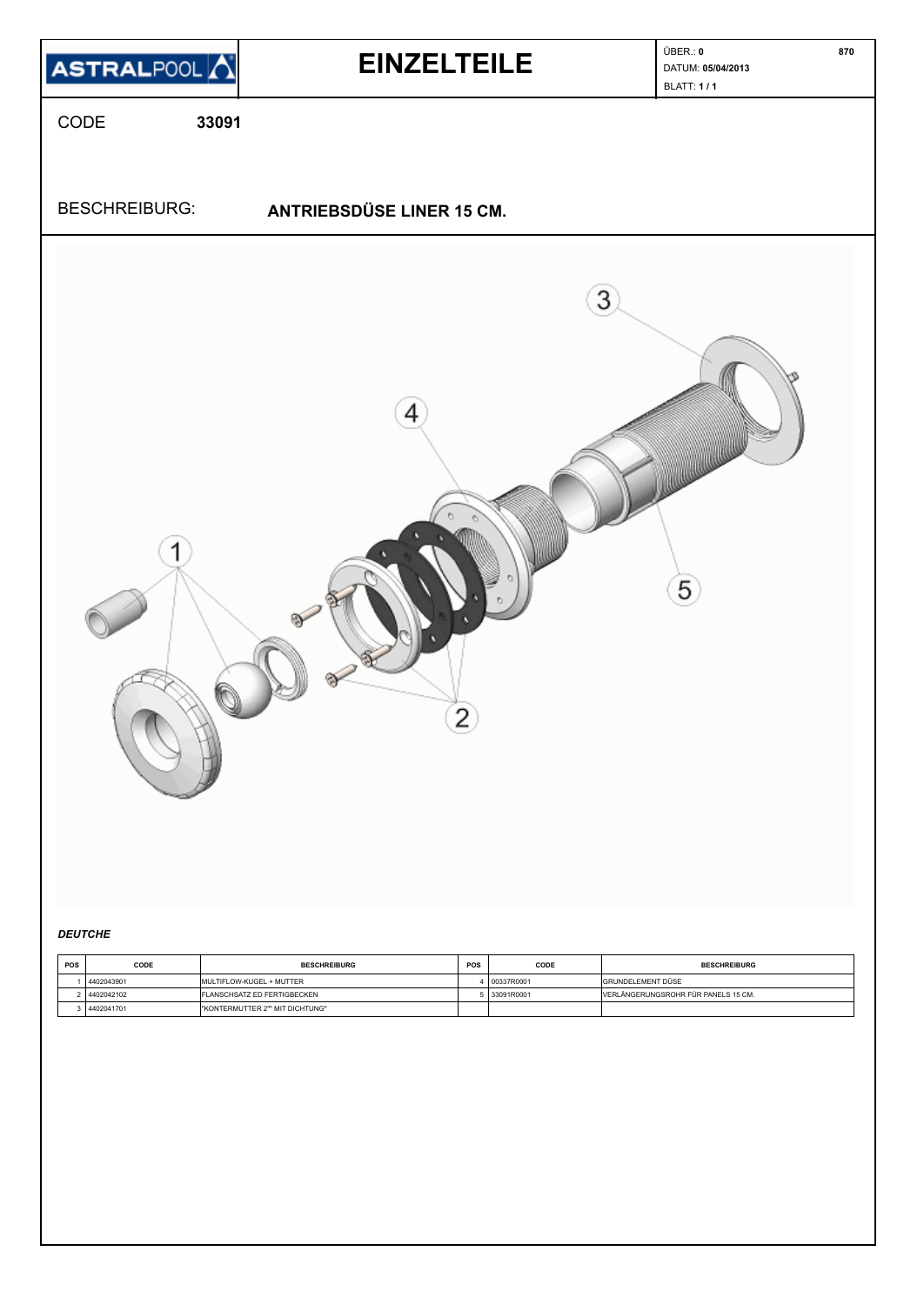

### *DEUTCHE*

| <b>POS</b> | CODE       | <b>BESCHREIBURG</b>              | <b>POS</b> | CODE       | <b>BESCHREIBURG</b>                 |
|------------|------------|----------------------------------|------------|------------|-------------------------------------|
|            | 4402043901 | <b>IMULTIFLOW-KUGEL + MUTTER</b> |            | 00337R0001 | <b>GRUNDELEMENT DÜSE</b>            |
|            | 4402042102 | FLANSCHSATZ ED FERTIGBECKEN      |            | 33091R0001 | VERLÄNGERUNGSROHR FÚR PANELS 15 CM. |
|            | 4402041701 | I"KONTERMUTTER 2"" MIT DICHTUNG" |            |            |                                     |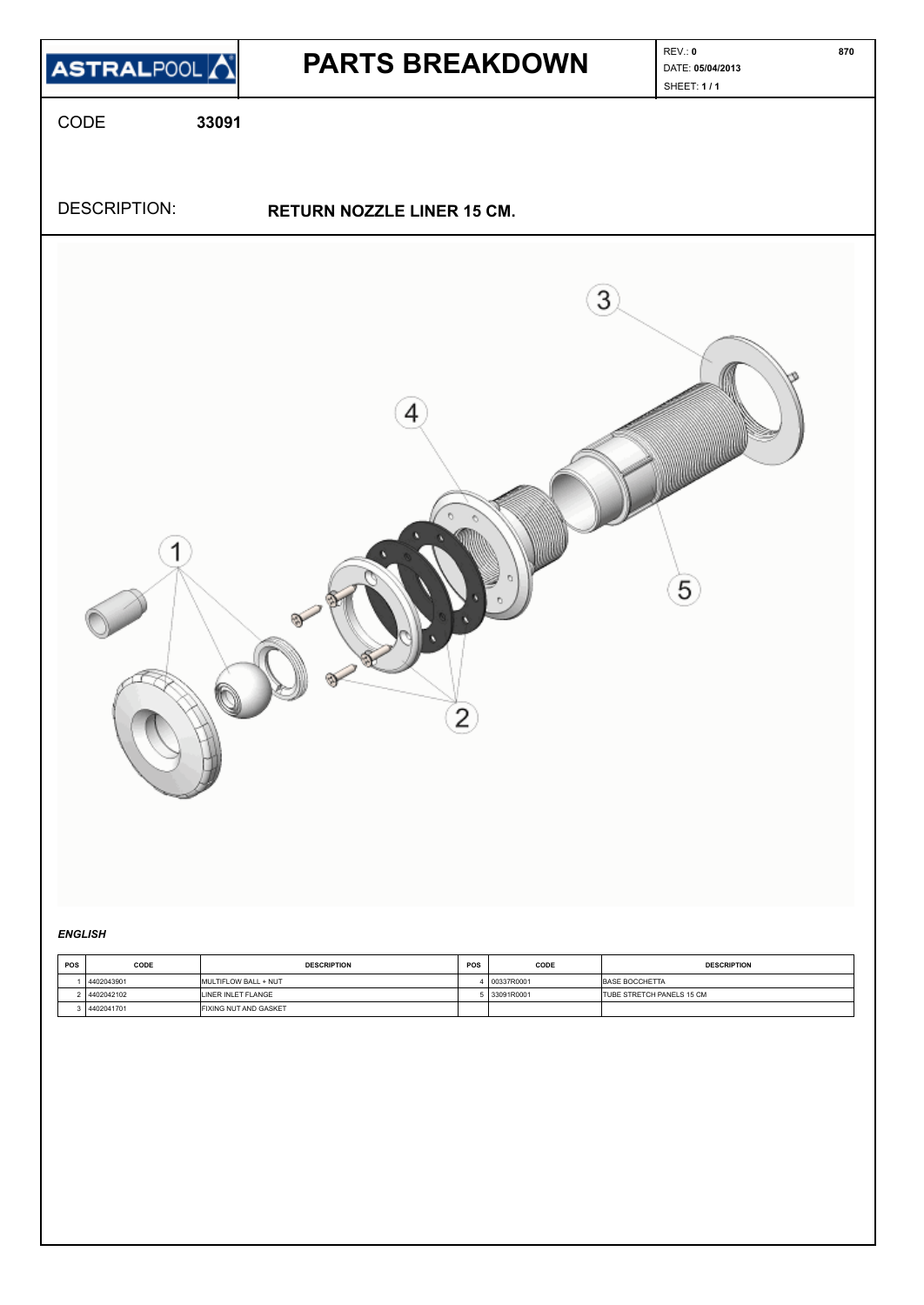

#### *ENGLISH*

| <b>POS</b> | CODE         | <b>DESCRIPTION</b>           | POS | CODE       | <b>DESCRIPTION</b>                |
|------------|--------------|------------------------------|-----|------------|-----------------------------------|
|            | 4402043901   | MULTIFLOW BALL + NUT         |     | D0337R0001 | BASE BOCCHETTA                    |
|            | 4402042102   | LINER INLET FLANGE           |     | 33091R0001 | <b>ITUBE STRETCH PANELS 15 CM</b> |
|            | 8 4402041701 | <b>FIXING NUT AND GASKET</b> |     |            |                                   |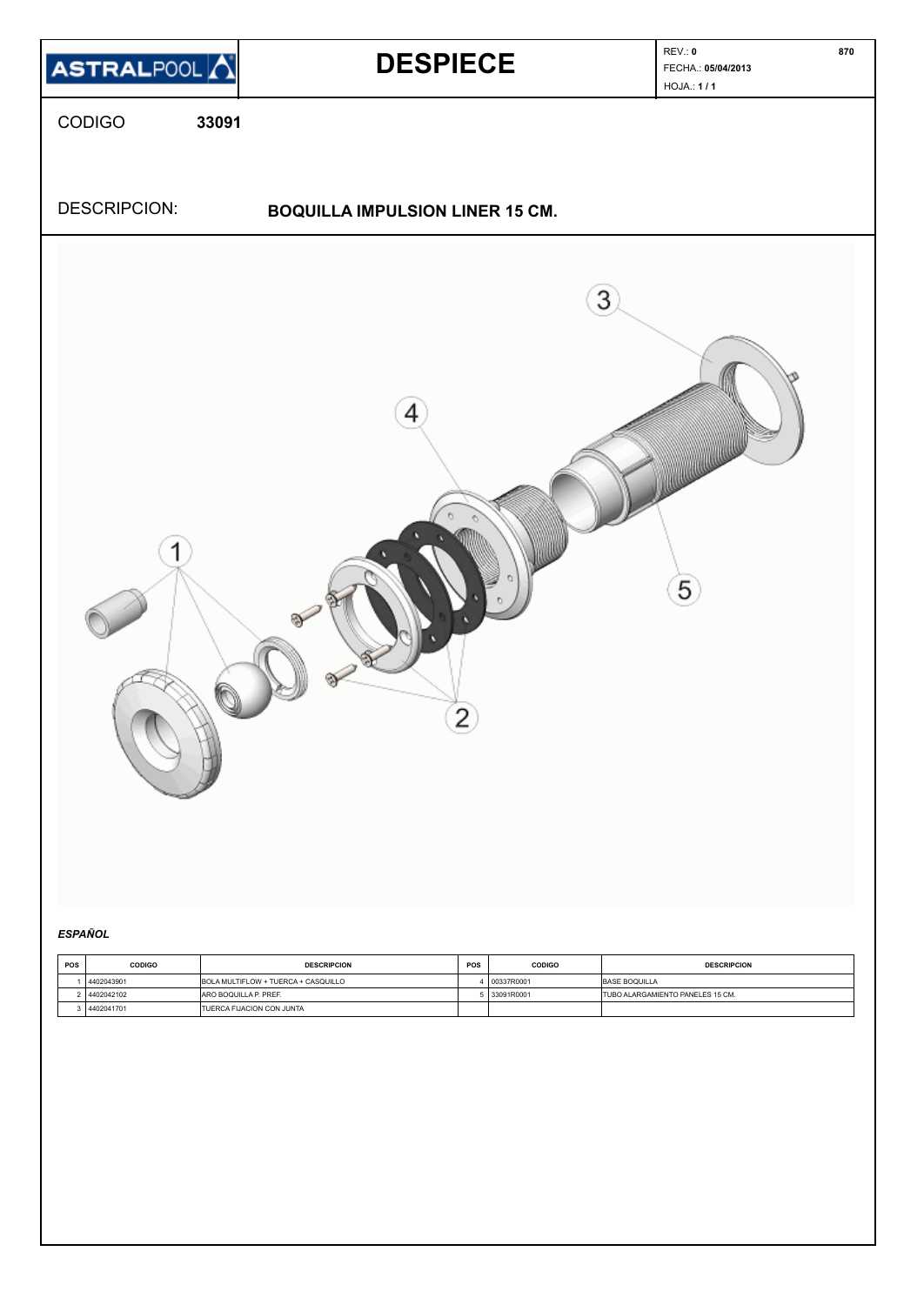

# *ESPAÑOL*

| <b>POS</b> | <b>CODIGO</b> | <b>DESCRIPCION</b>                  | <b>POS</b> | <b>CODIGO</b> | <b>DESCRIPCION</b>                       |
|------------|---------------|-------------------------------------|------------|---------------|------------------------------------------|
|            | 4402043901    | BOLA MULTIFLOW + TUERCA + CASQUILLO |            | 00337R0001    | <b>BASE BOQUILLA</b>                     |
|            | 4402042102    | <b>JARO BOQUILLA P. PREF.</b>       |            | 5 33091R0001  | <b>ITUBO ALARGAMIENTO PANELES 15 CM.</b> |
|            | 4402041701    | <b>ITUERCA FIJACION CON JUNTA</b>   |            |               |                                          |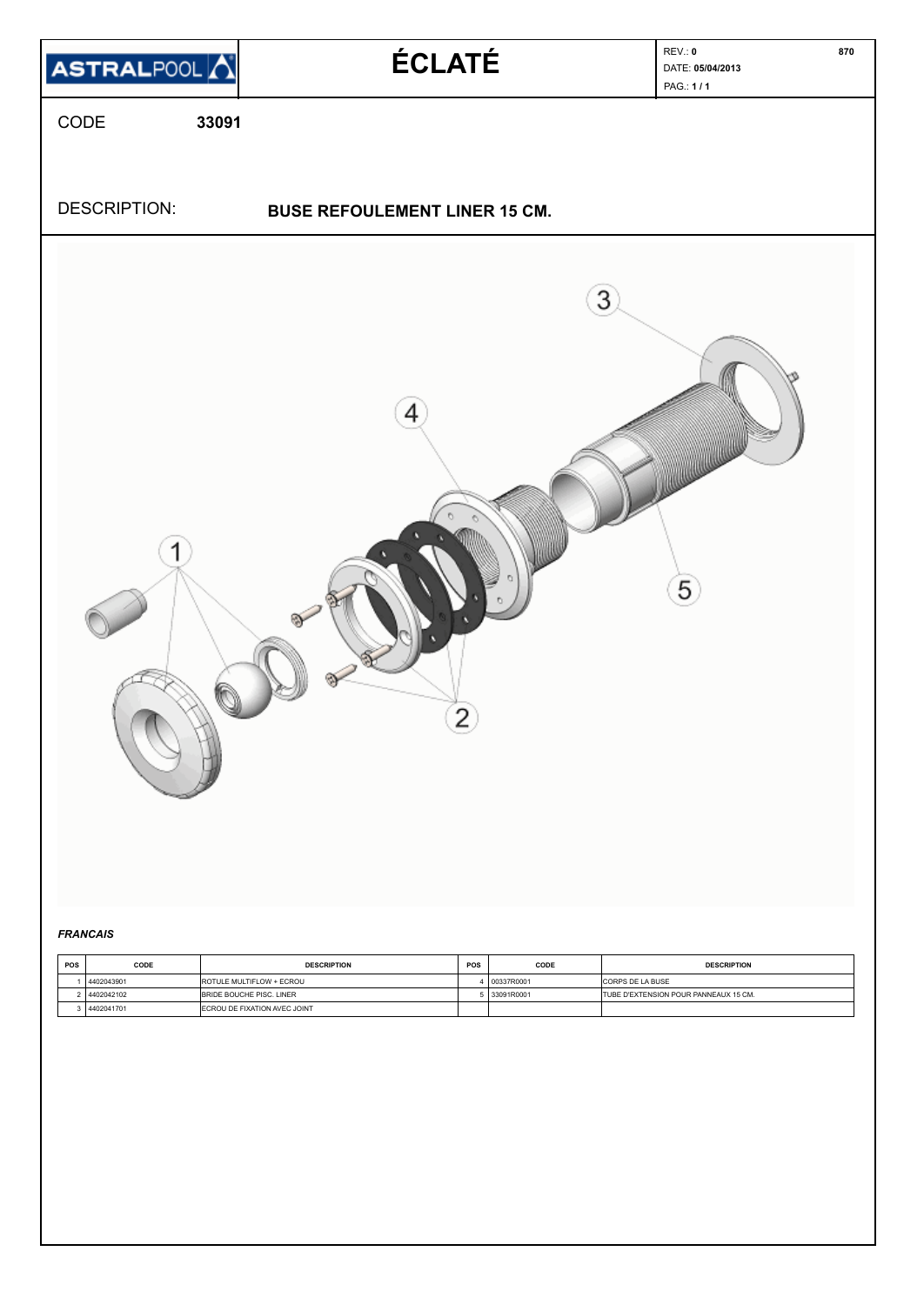

### *FRANCAIS*

| <b>POS</b> | CODE       | <b>DESCRIPTION</b>              | <b>POS</b> | CODE       | <b>DESCRIPTION</b>                    |
|------------|------------|---------------------------------|------------|------------|---------------------------------------|
|            | 4402043901 | <b>ROTULE MULTIFLOW + ECROU</b> |            | 00337R0001 | <b>CORPS DE LA BUSE</b>               |
|            | 4402042102 | <b>BRIDE BOUCHE PISC, LINER</b> |            | 33091R0001 | TUBE D'EXTENSION POUR PANNEAUX 15 CM. |
|            | 4402041701 | ECROU DE FIXATION AVEC JOINT    |            |            |                                       |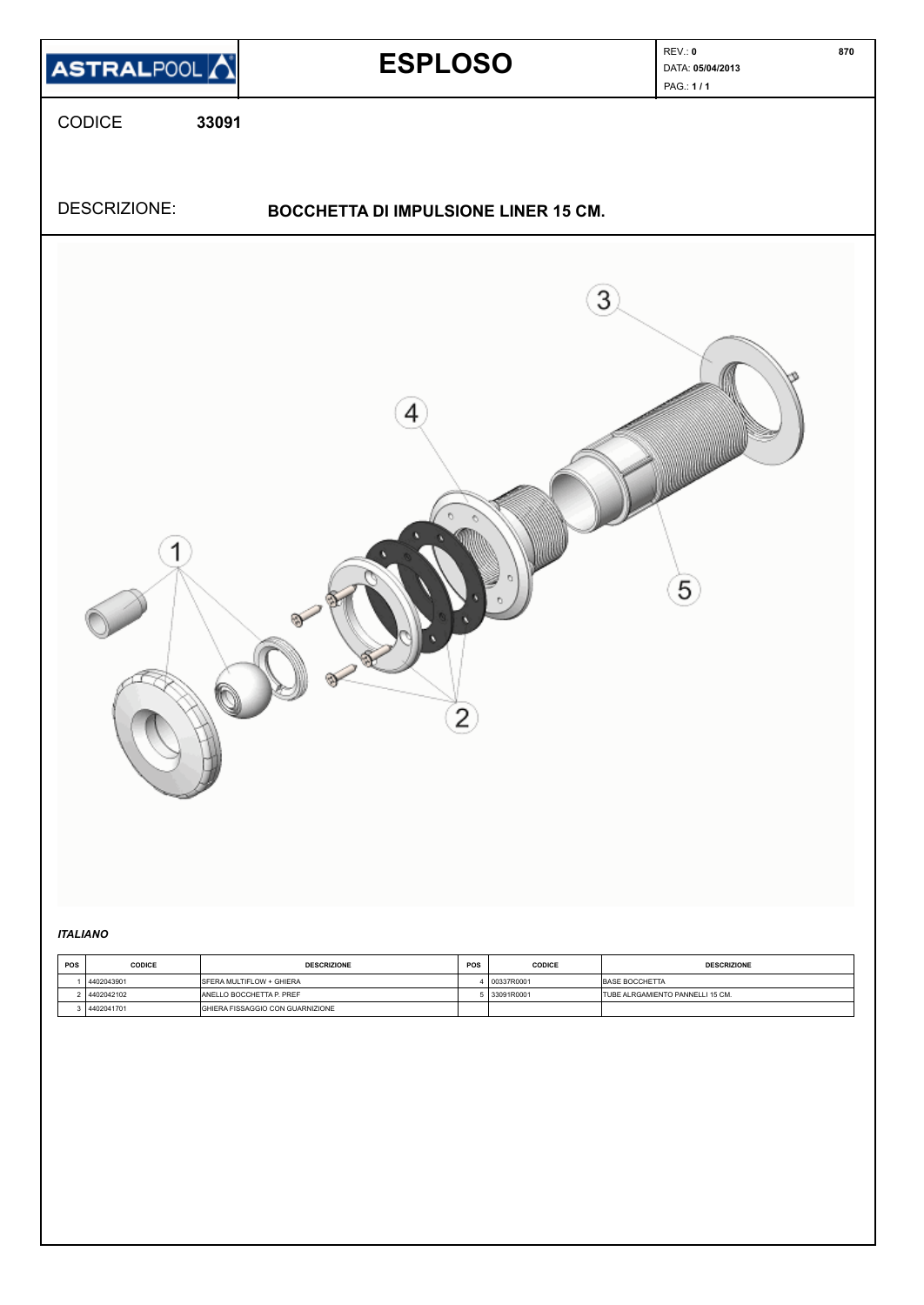

### *ITALIANO*

| POS | <b>CODICE</b> | <b>DESCRIZIONE</b>                      | POS | <b>CODICE</b> | <b>DESCRIZIONE</b>                      |
|-----|---------------|-----------------------------------------|-----|---------------|-----------------------------------------|
|     | 4402043901    | <b>ISFERA MULTIFLOW + GHIERA</b>        |     | 00337R0001    | BASE BOCCHETTA                          |
|     | 4402042102    | <b>ANELLO BOCCHETTA P. PREF</b>         |     | i 33091R0001  | <b>TUBE ALRGAMIENTO PANNELLI 15 CM.</b> |
|     | 4402041701    | <b>GHIERA FISSAGGIO CON GUARNIZIONE</b> |     |               |                                         |